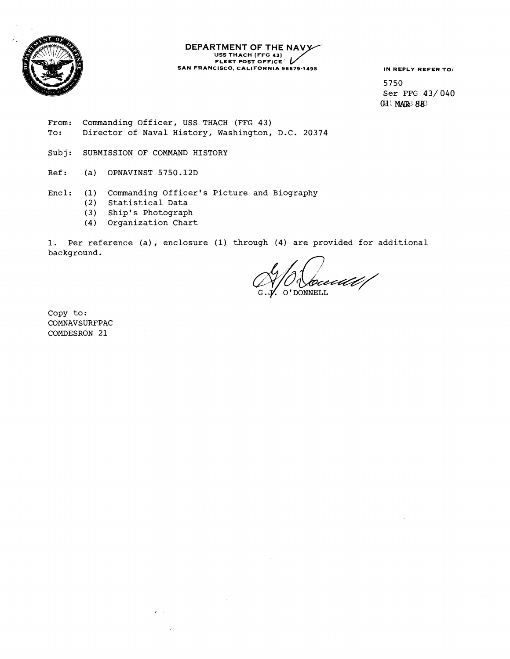

# **DEPARTMENT OF THE NAV**<br>
USS THACH (FFG 43)<br>
FLEET POST OFFICE **SAN FRANCISCO. CALIFORNIA 96679-1498 IN REPLY REFER TO:**<br> **IN REPLY REFER TO:**<br> **E750**

5750 Ser FFG 43/040 @JL **MklR; 8W** 

- From: Commanding Officer, USS THACH (FFG 43) To: Director of Naval History, Washington, D.C. 20374
- Subj: SUBMISSION OF COMMAND HISTORY
- Ref: (a) OPNAVINST 5750.12D
- Encl: (1) Commanding Officer's Picture and Biography
	- Statistical Data
	- (3) Ship' s Photograph
	- (4) Organization Chart

 $\varphi\in\mathbb{R}^n$ 

1. Per reference (a), enclosure **(1)** through (4) are provided for additional background.

ecd*ll* O'DONNELL

Copy to: COMNAVSURFPAC COMDESRON 21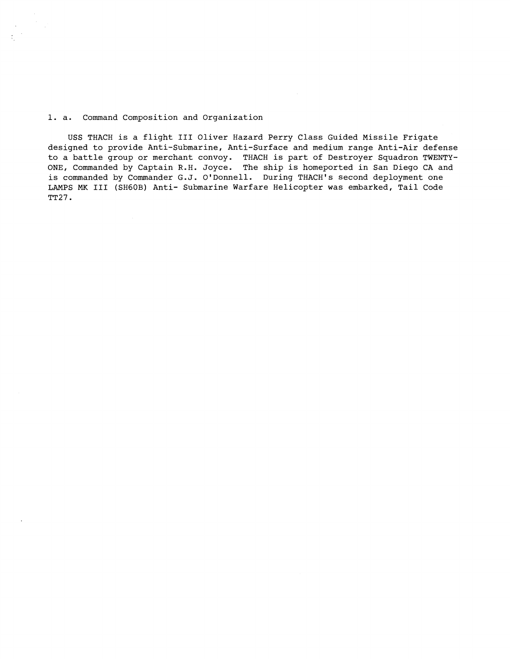1. a. Command Composition and Organization

 $\sim 15$ 

USS THACH is a flight **I11** Oliver Hazard Perry Class Guided Missile Frigate designed to provide Anti-Submarine, Anti-Surface and medium range Anti-Air defense to a battle group or merchant convoy. THACH is part of Destroyer Squadron TWENTY-ONE, Commanded by Captain R.H. Joyce. The ship is homeported in San Diego CA and is commanded by Commander G.J. O'Donnell. During THACH's second deployment one LAMPS **MK I11** (SHGOB) Anti- Submarine Warfare Helicopter was embarked, Tail Code **TT27.**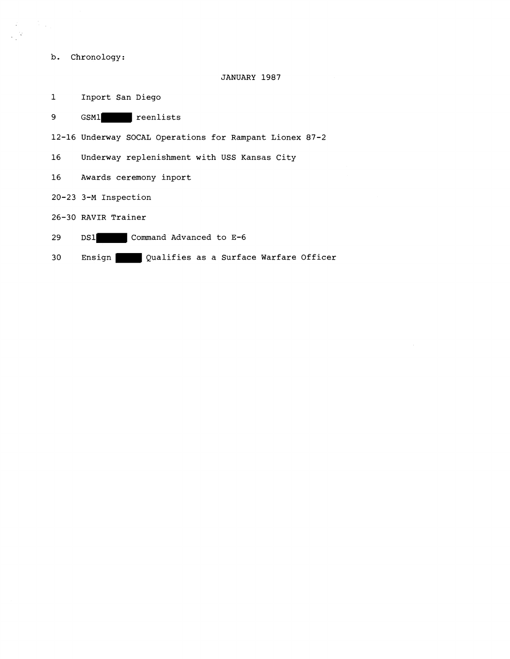b. Chronology:

 $\frac{1}{2} \sum_{i=1}^n \frac{1}{2} \sum_{j=1}^n \frac{1}{2} \sum_{j=1}^n \frac{1}{2} \sum_{j=1}^n \frac{1}{2} \sum_{j=1}^n \frac{1}{2} \sum_{j=1}^n \frac{1}{2} \sum_{j=1}^n \frac{1}{2} \sum_{j=1}^n \frac{1}{2} \sum_{j=1}^n \frac{1}{2} \sum_{j=1}^n \frac{1}{2} \sum_{j=1}^n \frac{1}{2} \sum_{j=1}^n \frac{1}{2} \sum_{j=1}^n \frac{1}{2} \sum_{j=$ 

 $\mathbb{Z}^{\times 2}$ 

#### JANUARY 1987

1 Inport San Diego

9 GSM1 reenlists

12-16 Underway SOCAL Operations for Rampant Lionex 87-2

16 Underway replenishment with USS Kansas City

- 16 Awards ceremony inport
- 20-23 3-M Inspection

26-30 RAVIR Trainer

- 29 DS1 Command Advanced to E-6
- 30 Ensign Qualifies as a Surface Warfare Officer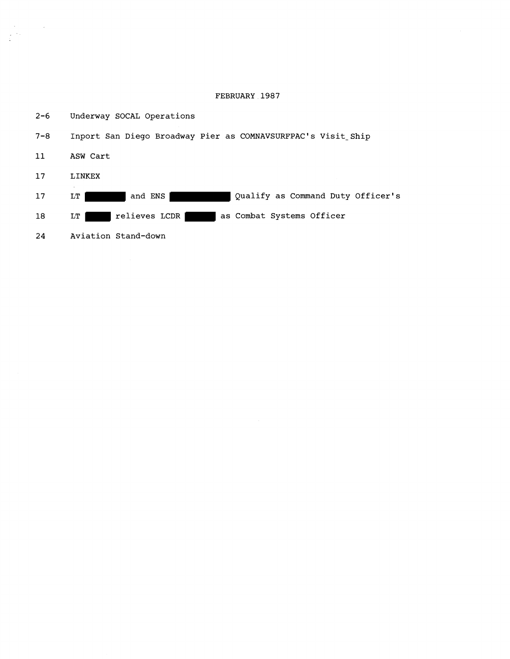## **FEBRUARY 1987**



 $\mathcal{L}^{\text{max}}_{\text{max}}$ 

 $\frac{1}{2}$  ,  $\frac{1}{2}$  ,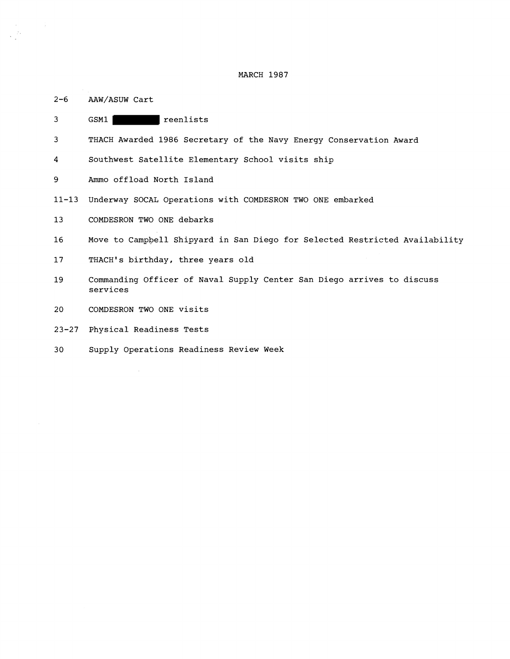MARCH **1987** 

| $2 - 6$ | AAW/ASUW Cart |  |
|---------|---------------|--|

 $\label{eq:2.1} \mathcal{L}(\mathcal{L}^{\text{max}}_{\mathcal{L}}(\mathcal{L}^{\text{max}}_{\mathcal{L}}(\mathcal{L}^{\text{max}}_{\mathcal{L}}(\mathcal{L}^{\text{max}}_{\mathcal{L}})))$ 

| 3               | reenlists<br>GSM1                                                                  |
|-----------------|------------------------------------------------------------------------------------|
| 3               | THACH Awarded 1986 Secretary of the Navy Energy Conservation Award                 |
| 4               | Southwest Satellite Elementary School visits ship                                  |
| 9               | Ammo offload North Island                                                          |
| $11 - 13$       | Underway SOCAL Operations with COMDESRON TWO ONE embarked                          |
| 13              | COMDESRON TWO ONE debarks                                                          |
| 16              | Move to Campbell Shipyard in San Diego for Selected Restricted Availability        |
| 17 <sub>2</sub> | THACH's birthday, three years old                                                  |
| 19              | Commanding Officer of Naval Supply Center San Diego arrives to discuss<br>services |
| 20              | COMDESRON TWO ONE visits                                                           |
| $23 - 27$       | Physical Readiness Tests                                                           |
| 30              | Supply Operations Readiness Review Week                                            |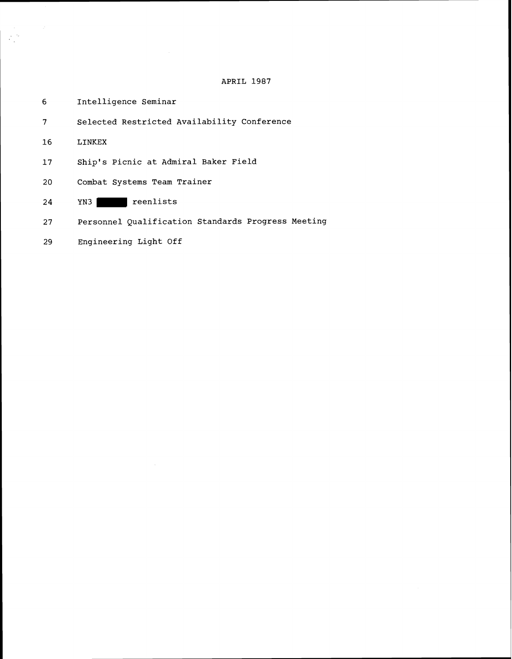# **APRIL 1987**

| 6  | Intelligence Seminar                               |
|----|----------------------------------------------------|
| 7  | Selected Restricted Availability Conference        |
| 16 | LINKEX                                             |
| 17 | Ship's Picnic at Admiral Baker Field               |
| 20 | Combat Systems Team Trainer                        |
| 24 | reenlists<br>YN3 I                                 |
| 27 | Personnel Qualification Standards Progress Meeting |
|    |                                                    |

**Engineering Light Off** 29

 $\label{eq:2} \begin{split} \frac{d\mathbf{y}}{d\mathbf{x}}&=\frac{d\mathbf{y}}{d\mathbf{x}}\left(\mathbf{x},\mathbf{y}\right)\\ &=\frac{d\mathbf{y}}{d\mathbf{x}}\left(\mathbf{x},\mathbf{y}\right)=-\frac{d\mathbf{y}}{d\mathbf{x}}\left(\mathbf{x},\mathbf{y}\right) \end{split}$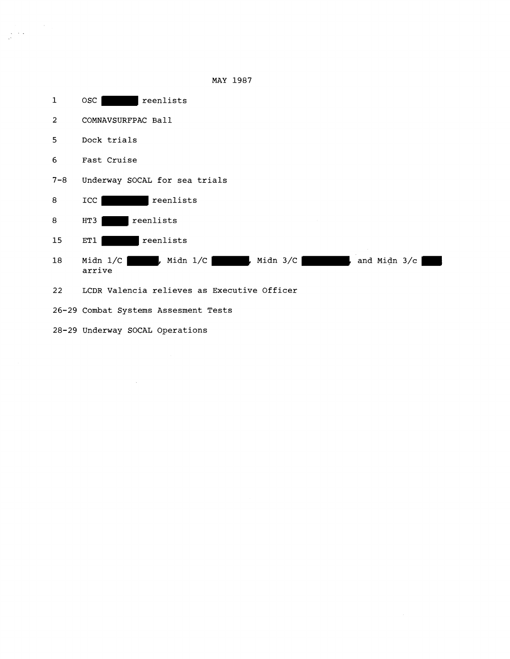

 $\sim$ 

MAY 1987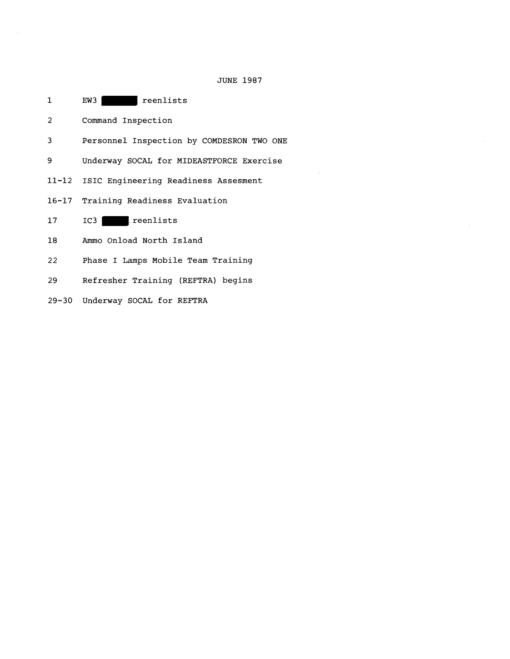| $\mathbf{1}$ | EW3<br>l reenlists                        |
|--------------|-------------------------------------------|
| 2            | Command Inspection                        |
| 3            | Personnel Inspection by COMDESRON TWO ONE |
| 9            | Underway SOCAL for MIDEASTFORCE Exercise  |
| 11-12        | ISIC Engineering Readiness Assesment      |
| 16-17        | Training Readiness Evaluation             |
| 17           | reenlists<br>$IC3$                        |
| 18           | Ammo Onload North Island                  |
| 22           | Phase I Lamps Mobile Team Training        |
| 29           | Refresher Training (REFTRA) begins        |

**Underway SOCAL for REFTRA** 

 $\label{eq:2.1} \frac{1}{\sqrt{2\pi}}\frac{1}{\sqrt{2\pi}}\frac{1}{\sqrt{2\pi}}\frac{1}{\sqrt{2\pi}}\frac{1}{\sqrt{2\pi}}\frac{1}{\sqrt{2\pi}}\frac{1}{\sqrt{2\pi}}\frac{1}{\sqrt{2\pi}}\frac{1}{\sqrt{2\pi}}\frac{1}{\sqrt{2\pi}}\frac{1}{\sqrt{2\pi}}\frac{1}{\sqrt{2\pi}}\frac{1}{\sqrt{2\pi}}\frac{1}{\sqrt{2\pi}}\frac{1}{\sqrt{2\pi}}\frac{1}{\sqrt{2\pi}}\frac{1}{\sqrt{2\pi}}\frac{1}{\sqrt$ 

**JUNE 1987** 

 $\label{eq:2} \mathcal{L}(\mathcal{L}^{\text{max}}_{\text{max}}(\mathcal{L}^{\text{max}}_{\text{max}}(\mathcal{L}^{\text{max}}_{\text{max}}(\mathcal{L}^{\text{max}}_{\text{max}}(\mathcal{L}^{\text{max}}_{\text{max}}(\mathcal{L}^{\text{max}}_{\text{max}}(\mathcal{L}^{\text{max}}_{\text{max}}(\mathcal{L}^{\text{max}}_{\text{max}}(\mathcal{L}^{\text{max}}_{\text{max}}(\mathcal{L}^{\text{max}}_{\text{max}}(\mathcal{L}^{\text{max}}_{\text{max}}(\mathcal{L}^{\text$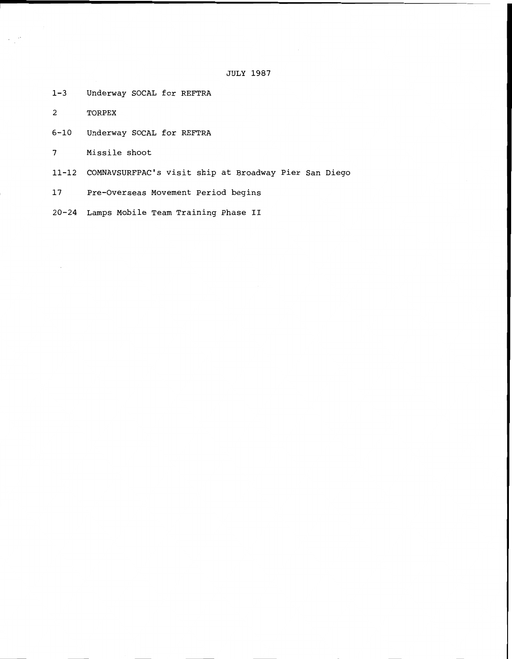JULY 1987

1-3 Underway SOCAL for REFTRA

2 TORPEX

6-10 Underway SOCAL for REFTRA

7 Missile shoot

11-12 COMNAVSURFPAC's visit ship at Broadway Pier San Diego

17 Pre-Overseas Movement Period begins

20-24 Lamps Mobile Team Training Phase **I1**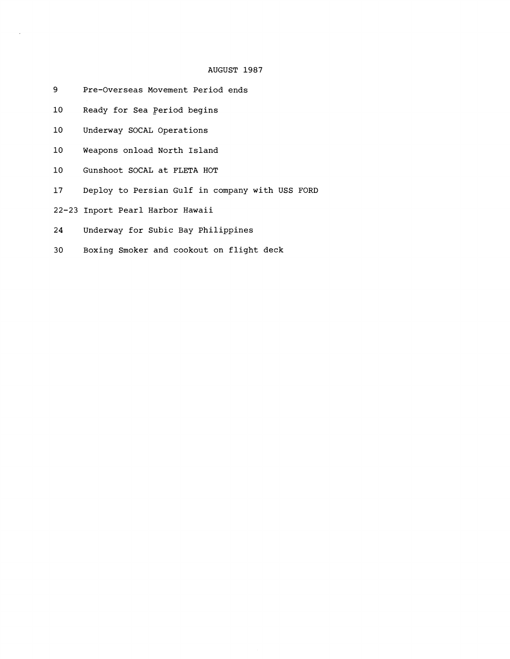### AUGUST 1987

- 9 Pre-Overseas Movement Period ends
- 10 Ready for Sea Period begins
- 10 Underway SOCAL Operations
- 10 Weapons onload North Island
- 10 Gunshoot SOCAL at FLETA HOT
- 17 Deploy to Persian Gulf in company with USS FORD
- 22-23 Inport Pearl Harbor Hawaii
- 24 Underway for Subic Bay Philippines
- 30 Boxing Smoker and cookout on flight deck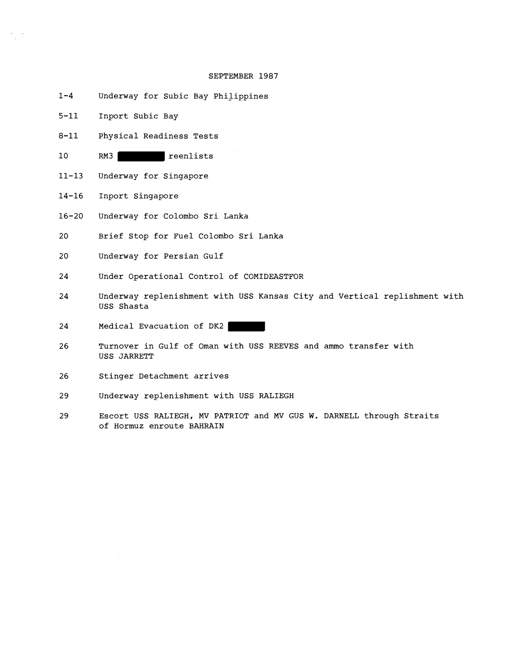#### SEPTEMBER 1987

- $1 4$ Underway for Subic Bay Philippines
- $5 11$ Inport Subic Bay
- $8 11$ Physical Readiness Tests
- $10$ RM3 reenlists
- $11 13$ Underway for Singapore
- $14 16$ Inport Singapore
- $16 20$ Underway for Colombo Sri Lanka
- 20 Brief Stop for Fuel Colombo Sri Lanka
- 20 Underway for Persian Gulf
- Under Operational Control of COMIDEASTFOR 24
- 24 Underway replenishment with USS Kansas City and Vertical replishment with USS Shasta
- 24 Medical Evacuation of DK2
- 26 Turnover in Gulf of Oman with USS REEVES and ammo transfer with USS JARRETT
- Stinger Detachment arrives 26
- 29 Underway replenishment with USS RALIEGH
- 29 Escort USS RALIEGH, MV PATRIOT and MV GUS W. DARNELL through Straits of Hormuz enroute BAHRAIN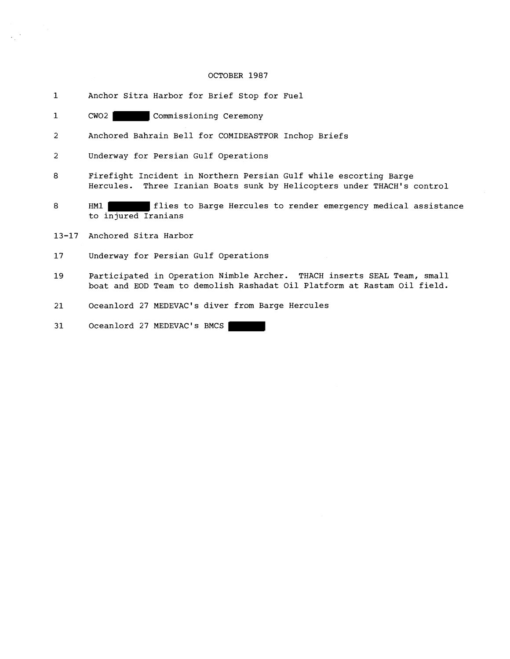#### OCTOBER 1987

- 1 Anchor Sitra Harbor for Brief Stop for Fuel
- 1 CW02 Commissioning Ceremony
- 2 Anchored Bahrain Bell for COMIDEASTFOR Inchop Briefs
- 2 Underway for Persian Gulf Operations
- 8 Firefight Incident in Northern Persian Gulf while escorting Barge Hercules. Three Iranian Boats sunk by Helicopters under THACH's control
- 8 HM1 **HM1** flies to Barge Hercules to render emergency medical assistance to injured Iranians
- 13-17 Anchored Sitra Harbor
- 17 Underway for Persian Gulf Operations
- 19 Participated in Operation Nimble Archer. THACH inserts SEAL Team, small boat and EOD Team to demolish Rashadat Oil Platform at Rastam Oil field.
- 21 Oceanlord 27 MEDEVAC's diver from Barge Hercules

31 Oceanlord 27 MEDEVAC's BMCS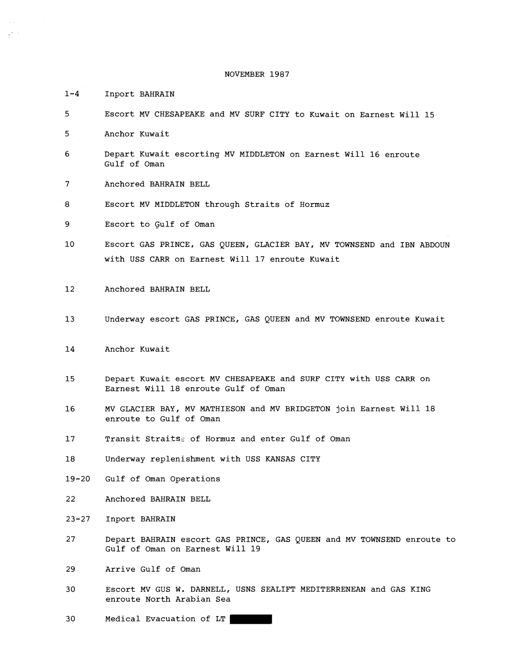NOVEMBER **1987** 

**1-4** Inport BAHRAIN

 $\mathbb{R}^{k \times k}$ 

- **5** Escort MV CHESAPEAKE and MV SURF CITY to Kuwait on Earnest Will **15**
- **5** Anchor Kuwait
- 6 Depart Kuwait escorting MV MIDDLETON on Earnest Will 16 enroute Gulf of Oman
- 7 Anchored BAHRAIN BELL
- **8** Escort MV MIDDLETON through Straits of Hormuz
- **9** Escort to Gulf of Oman
- **10** Escort GAS PRINCE, GAS QUEEN, GLACIER BAY, MV TOWNSEND and IBN ABDOUN with USS CARR on Earnest Will **17** enroute Kuwait
- 12 Anchored BAHRAIN BELL
- 13 Underway escort GAS PRINCE, GAS QUEEN and MV TOWNSEND enroute Kuwait
- **14** Anchor Kuwait
- Depart Kuwait escort MV CHESAPEAKE and SURF CITY with USS CARR on 15 Earnest Will **18** enroute Gulf of Oman
- MV GLACIER BAY, MV MATHIESON and MV BRIDGETON join Earnest Will **18**  16 enroute to Gulf of Oman
- 17 Transit Straitss of Hormuz and enter Gulf of Oman
- 18 Underway replenishment with USS KANSAS CITY
- $19 20$ Gulf of Oman Operations
- 22 Anchored BAHRAIN BELL
- $23 27$ Inport BAHRAIN
- 27 Depart BAHRAIN escort GAS PRINCE, GAS QUEEN and MV TOWNSEND enroute to Gulf of Oman on Earnest Will 19
- Arrive Gulf of Oman 29
- 30 Escort MV GUS W. DARNELL, USNS SEALIFT MEDITERRENEAN and GAS KING enroute North Arabian Sea
- 30 Medical Evacuation of LT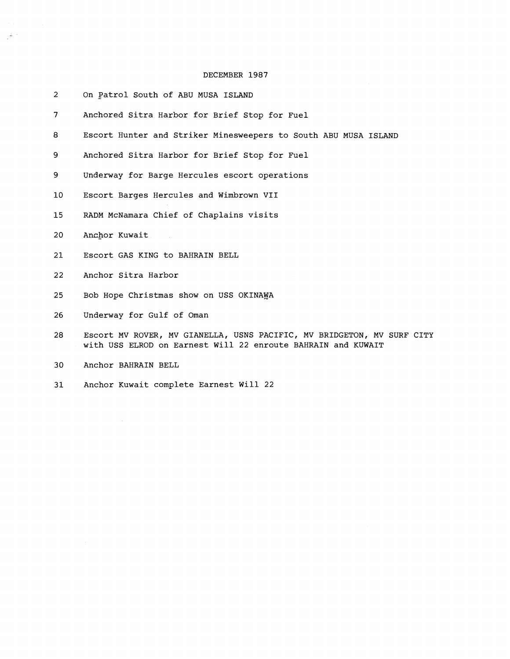#### DECEMBER 1987

- $\overline{2}$ On Patrol South of ABU MUSA ISLAND
- $\overline{7}$ Anchored Sitra Harbor for Brief Stop for Fuel
- 8 Escort Hunter and Striker Minesweepers to South ABU MUSA ISLAND
- 9 Anchored Sitra Harbor for Brief Stop for Fuel
- 9 Underway for Barge Hercules escort operations
- Escort Barges Hercules and Wimbrown VII  $10<sub>1</sub>$
- 15 RADM McNamara Chief of Chaplains visits

 $\sim 10$ 

20 Anchor Kuwait

 $\frac{1}{2} \Delta \rightarrow$ 

- 21 Escort GAS KING to BAHRAIN BELL
- 22 Anchor Sitra Harbor
- 25 Bob Hope Christmas show on USS OKINAWA
- 26 Underway for Gulf of Oman
- 28 Escort MV ROVER, MV GIANELLA, USNS PACIFIC, MV BRIDGETON, MV SURF CITY with USS ELROD on Earnest Will 22 enroute BAHRAIN and KUWAIT
- 30 Anchor BAHRAIN BELL

 $\mathcal{A}$ 

 $31$ Anchor Kuwait complete Earnest Will 22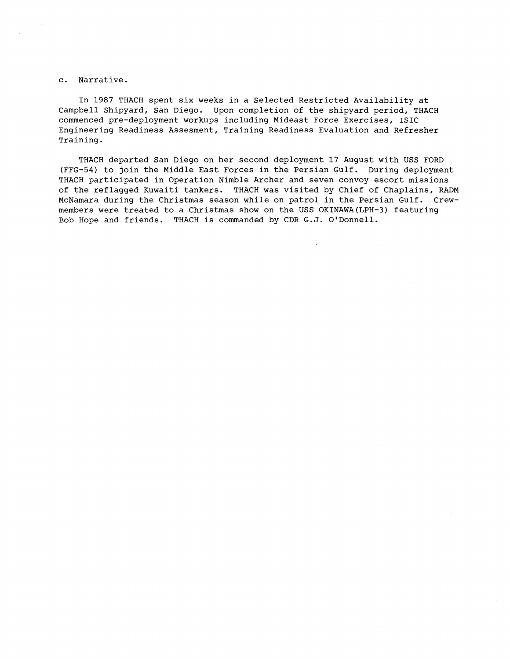#### c. Narrative.

In 1987 THACH spent six weeks in a Selected Restricted Availability at Campbell Shipyard, San Diego. Upon completion of the shipyard period, THACH commenced pre-deployment workups including Mideast Force Exercises, ISIC Engineering Readiness Assesment, Training Readiness Evaluation and Refresher Training.

THACH departed San Diego on her second deployment 17 August with USS FORD (FFG-54) to join the Middle East Forces in the Persian Gulf. During deployment THACH participated in Operation Nimble Archer and seven convoy escort missions of the reflagged Kuwaiti tankers. THACH was visited by Chief of Chaplains, RADM McNamara during the Christmas season while on patrol in the Persian Gulf. Crewmembers were treated to a Christmas show on the USS OKINAWA(LPH-3) featuring Bob Hope and friends. THACH is commanded by CDR G.J. O'Donnell.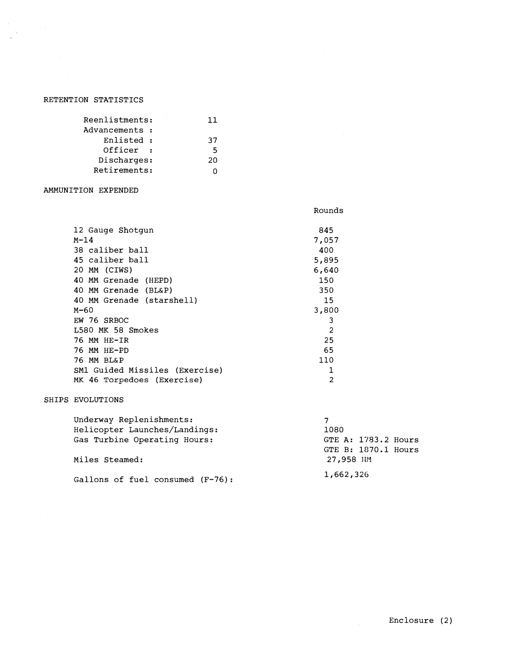# RETENTION STATISTICS

| Reenlistments: | 11 |
|----------------|----|
| Advancements : |    |
| Enlisted :     | 37 |
| Officer        | 5  |
| Discharges:    | 20 |
| Retirements:   |    |

## AMMUNITION EXPENDED

| 12 Gauge Shotgun               | 845            |
|--------------------------------|----------------|
| $M-14$                         | 7,057          |
| 38 caliber ball                | 400            |
| 45 caliber ball                | 5,895          |
| 20 MM (CIWS)                   | 6,640          |
| 40 MM Grenade (HEPD)           | 150            |
| 40 MM Grenade (BL&P)           | 350            |
| 40 MM Grenade (starshell)      | 15             |
| M-60                           | 3,800          |
| EW 76 SRBOC                    | 3              |
| L580 MK 58 Smokes              | $\overline{2}$ |
| 76 MM HE-IR                    | 25             |
| 76 MM HE-PD                    | 65             |
| 76 MM BL&P                     | 110            |
| SM1 Guided Missiles (Exercise) | 1              |
| MK 46 Torpedoes (Exercise)     | 2              |

## SHIPS EVOLUTIONS

| Underway Replenishments:            |                     |
|-------------------------------------|---------------------|
| Helicopter Launches/Landings:       | 1080                |
| Gas Turbine Operating Hours:        | GTE A: 1783.2 Hours |
|                                     | GTE B: 1870.1 Hours |
| Miles Steamed:                      | 27,958 MM           |
| Gallons of fuel consumed $(F-76)$ : | 1,662,326           |

Rounds

 $\mathcal{L}_{\mathcal{L}}$